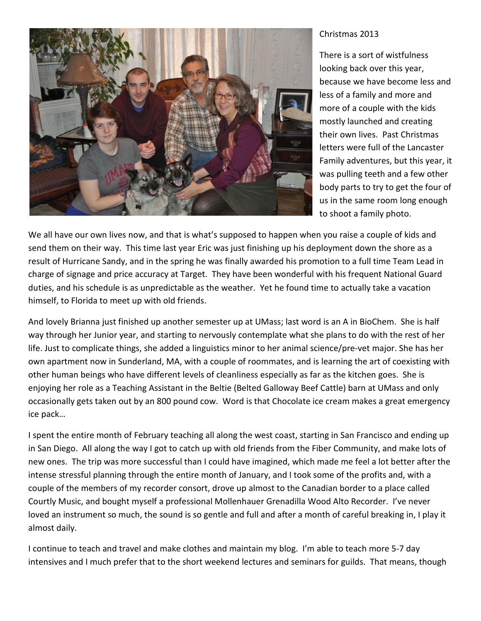

## Christmas 2013

There is a sort of wistfulness looking back over this year, because we have become less and less of a family and more and more of a couple with the kids mostly launched and creating their own lives. Past Christmas letters were full of the Lancaster Family adventures, but this year, it was pulling teeth and a few other body parts to try to get the four of us in the same room long enough to shoot a family photo.

We all have our own lives now, and that is what's supposed to happen when you raise a couple of kids and send them on their way. This time last year Eric was just finishing up his deployment down the shore as a result of Hurricane Sandy, and in the spring he was finally awarded his promotion to a full time Team Lead in charge of signage and price accuracy at Target. They have been wonderful with his frequent National Guard duties, and his schedule is as unpredictable as the weather. Yet he found time to actually take a vacation himself, to Florida to meet up with old friends.

And lovely Brianna just finished up another semester up at UMass; last word is an A in BioChem. She is half way through her Junior year, and starting to nervously contemplate what she plans to do with the rest of her life. Just to complicate things, she added a linguistics minor to her animal science/pre-vet major. She has her own apartment now in Sunderland, MA, with a couple of roommates, and is learning the art of coexisting with other human beings who have different levels of cleanliness especially as far as the kitchen goes. She is enjoying her role as a Teaching Assistant in the Beltie (Belted Galloway Beef Cattle) barn at UMass and only occasionally gets taken out by an 800 pound cow. Word is that Chocolate ice cream makes a great emergency ice pack…

I spent the entire month of February teaching all along the west coast, starting in San Francisco and ending up in San Diego. All along the way I got to catch up with old friends from the Fiber Community, and make lots of new ones. The trip was more successful than I could have imagined, which made me feel a lot better after the intense stressful planning through the entire month of January, and I took some of the profits and, with a couple of the members of my recorder consort, drove up almost to the Canadian border to a place called Courtly Music, and bought myself a professional Mollenhauer Grenadilla Wood Alto Recorder. I've never loved an instrument so much, the sound is so gentle and full and after a month of careful breaking in, I play it almost daily.

I continue to teach and travel and make clothes and maintain my blog. I'm able to teach more 5-7 day intensives and I much prefer that to the short weekend lectures and seminars for guilds. That means, though